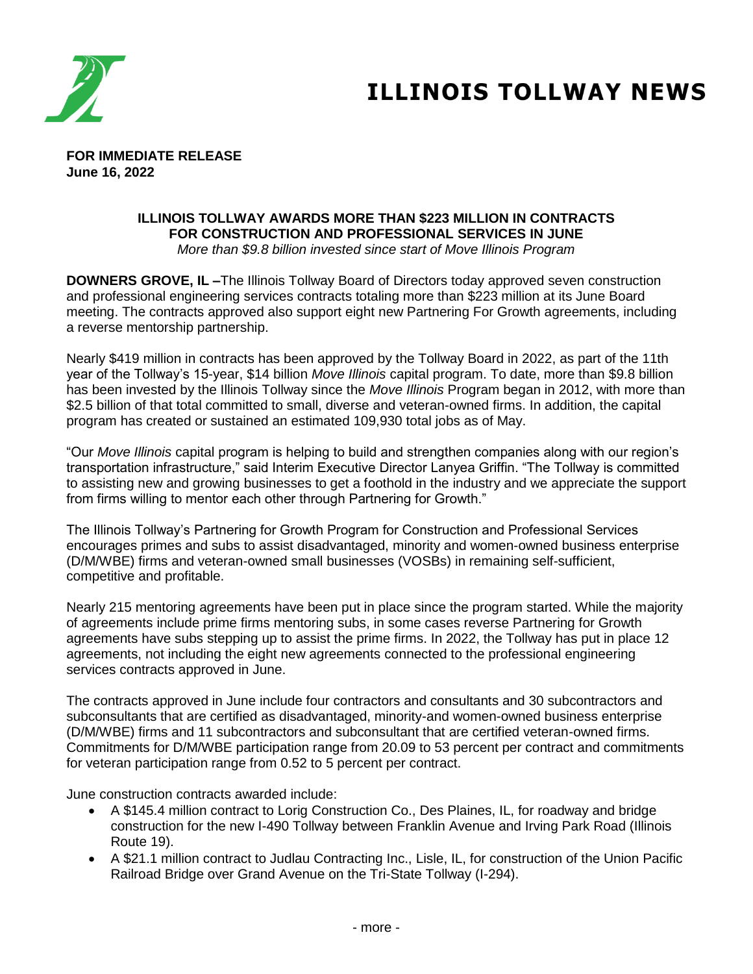

## **ILLINOIS TOLLWAY NEWS**

**FOR IMMEDIATE RELEASE June 16, 2022**

## **ILLINOIS TOLLWAY AWARDS MORE THAN \$223 MILLION IN CONTRACTS FOR CONSTRUCTION AND PROFESSIONAL SERVICES IN JUNE**

*More than \$9.8 billion invested since start of Move Illinois Program*

**DOWNERS GROVE, IL –**The Illinois Tollway Board of Directors today approved seven construction and professional engineering services contracts totaling more than \$223 million at its June Board meeting. The contracts approved also support eight new Partnering For Growth agreements, including a reverse mentorship partnership.

Nearly \$419 million in contracts has been approved by the Tollway Board in 2022, as part of the 11th year of the Tollway's 15-year, \$14 billion *Move Illinois* capital program. To date, more than \$9.8 billion has been invested by the Illinois Tollway since the *Move Illinois* Program began in 2012, with more than \$2.5 billion of that total committed to small, diverse and veteran-owned firms. In addition, the capital program has created or sustained an estimated 109,930 total jobs as of May.

"Our *Move Illinois* capital program is helping to build and strengthen companies along with our region's transportation infrastructure," said Interim Executive Director Lanyea Griffin. "The Tollway is committed to assisting new and growing businesses to get a foothold in the industry and we appreciate the support from firms willing to mentor each other through Partnering for Growth."

The Illinois Tollway's Partnering for Growth Program for Construction and Professional Services encourages primes and subs to assist disadvantaged, minority and women-owned business enterprise (D/M/WBE) firms and veteran-owned small businesses (VOSBs) in remaining self-sufficient, competitive and profitable.

Nearly 215 mentoring agreements have been put in place since the program started. While the majority of agreements include prime firms mentoring subs, in some cases reverse Partnering for Growth agreements have subs stepping up to assist the prime firms. In 2022, the Tollway has put in place 12 agreements, not including the eight new agreements connected to the professional engineering services contracts approved in June.

The contracts approved in June include four contractors and consultants and 30 subcontractors and subconsultants that are certified as disadvantaged, minority-and women-owned business enterprise (D/M/WBE) firms and 11 subcontractors and subconsultant that are certified veteran-owned firms. Commitments for D/M/WBE participation range from 20.09 to 53 percent per contract and commitments for veteran participation range from 0.52 to 5 percent per contract.

June construction contracts awarded include:

- A \$145.4 million contract to Lorig Construction Co., Des Plaines, IL, for roadway and bridge construction for the new I-490 Tollway between Franklin Avenue and Irving Park Road (Illinois Route 19).
- A \$21.1 million contract to Judlau Contracting Inc., Lisle, IL, for construction of the Union Pacific Railroad Bridge over Grand Avenue on the Tri-State Tollway (I-294).